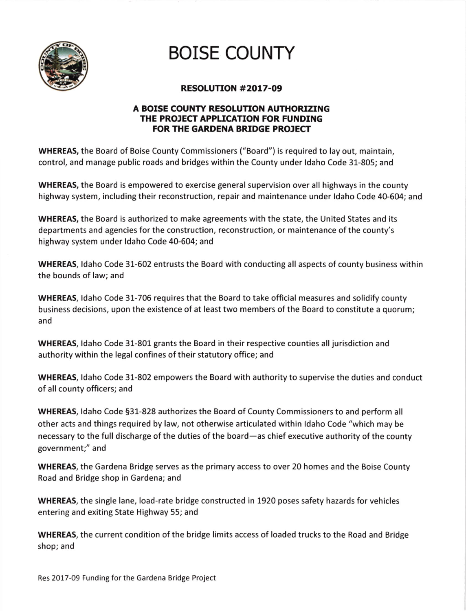

## **BOISE COUNTY**

## RESOLUTION #2OL7-O9

## A BOISE COUNTY RESOLUTION AUTHORIZING THE PROJECT APPLICATION FOR FUNDING FOR THE GARDENA BRIDGE PROJECT

WHEREAS, the Board of Boise County Commissioners ("Board") is required to lay out, maintain, control, and manage public roads and bridges within the County under ldaho Code 31-805; and

WHEREAS, the Board is empowered to exercise general supervision over all highways in the county highway system, including their reconstruction, repair and maintenance under ldaho Code 40-604; and

WHEREAS, the Board is authorized to make agreements with the state, the United States and its departments and agencies for the construction, reconstruction, or maintenance of the county's highway system under ldaho Code 40-604; and

WHEREAS, ldaho Code 31-602 entrusts the Board with conducting all aspects of county business within the bounds of law; and

WHEREAS, ldaho Code 31-706 requires that the Board to take official measures and solidify county business decisions, upon the existence of at least two members of the Board to constitute a quorum; and

WHEREAS, ldaho Code 31-801 grants the Board in their respective counties all jurisdiction and authority within the legal confines of their statutory office; and

WHEREAS, ldaho Code 31-802 empowers the Board with authority to supervise the duties and conduct of all county officers; and

WHEREAS, ldaho Code 531-828 authorizes the Board of County Commissioners to and perform all other acts and things required by law, not otherwise articulated within ldaho Code "which may be necessary to the full discharge of the duties of the board—as chief executive authority of the county government;" and

WHEREAS, the Gardena Bridge serves as the primary access to over 20 homes and the Boise County Road and Bridge shop in Gardena; and

WHEREAS, the single lane, load-rate bridge constructed in 1920 poses safety hazards for vehicles entering and exiting State Highway 55; and

WHEREAS, the current condition of the bridge limits access of loaded trucks to the Road and Bridge shop; and